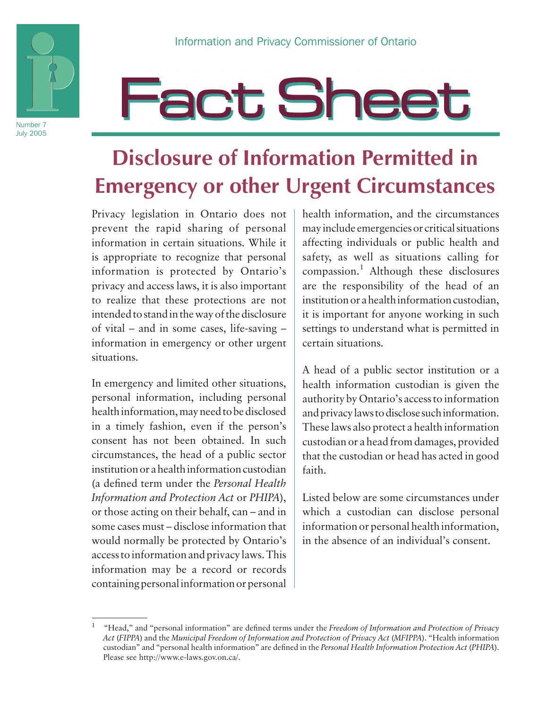

# **Fact Sheet**

# **Disclosure of Information Permitted in Emergency or other Urgent Circumstances**

Privacy legislation in Ontario does not prevent the rapid sharing of personal information in certain situations. While it is appropriate to recognize that personal information is protected by Ontario's privacy and access laws, it is also important to realize that these protections are not intended to stand in the way of the disclosure of vital – and in some cases, life-saving – information in emergency or other urgent situations.

In emergency and limited other situations, personal information, including personal health information, may need to be disclosed in a timely fashion, even if the person's consent has not been obtained. In such circumstances, the head of a public sector institution or a health information custodian (a defined term under the *Personal Health Information and Protection Act* or *PHIPA*), or those acting on their behalf, can – and in some cases must – disclose information that would normally be protected by Ontario's access to information and privacy laws. This information may be a record or records containing personal information or personal

health information, and the circumstances may include emergencies or critical situations affecting individuals or public health and safety, as well as situations calling for compassion.<sup>1</sup> Although these disclosures are the responsibility of the head of an institution or a health information custodian, it is important for anyone working in such settings to understand what is permitted in certain situations.

A head of a public sector institution or a health information custodian is given the authority by Ontario's access to information and privacy laws to disclose such information. These laws also protect a health information custodian or a head from damages, provided that the custodian or head has acted in good faith.

Listed below are some circumstances under which a custodian can disclose personal information or personal health information, in the absence of an individual's consent.

<sup>1</sup> "Head," and "personal information" are defined terms under the *Freedom of Information and Protection of Privacy Act* (*FIPPA*) and the *Municipal Freedom of Information and Protection of Privacy Act* (*MFIPPA*). "Health information custodian" and "personal health information" are defined in the *Personal Health Information Protection Act* (*PHIPA*). Please see http://www.e-laws.gov.on.ca/.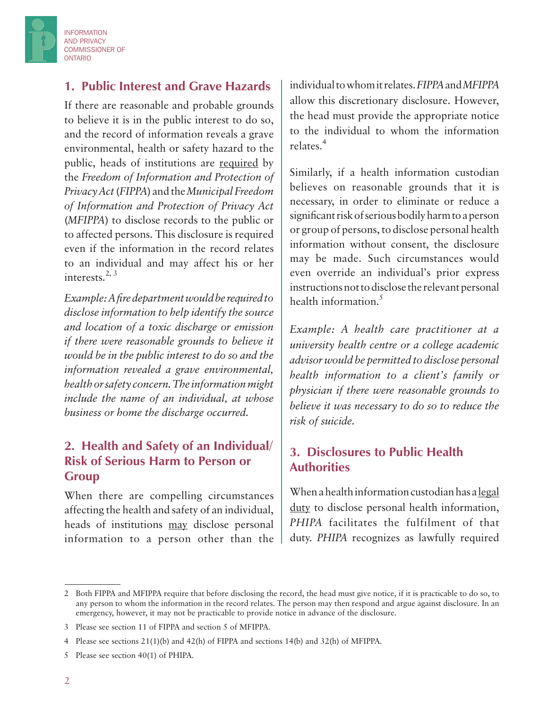

#### **1. Public Interest and Grave Hazards**

If there are reasonable and probable grounds to believe it is in the public interest to do so, and the record of information reveals a grave environmental, health or safety hazard to the public, heads of institutions are required by the *Freedom of Information and Protection of Privacy Act* (*FIPPA*) and the *Municipal Freedom of Information and Protection of Privacy Act* (*MFIPPA*) to disclose records to the public or to affected persons. This disclosure is required even if the information in the record relates to an individual and may affect his or her interests. $2, 3$ 

*Example: A fire department would be required to disclose information to help identify the source and location of a toxic discharge or emission if there were reasonable grounds to believe it would be in the public interest to do so and the information revealed a grave environmental, health or safety concern. The information might include the name of an individual, at whose business or home the discharge occurred.* 

#### **2. Health and Safety of an Individual/ Risk of Serious Harm to Person or Group**

When there are compelling circumstances affecting the health and safety of an individual, heads of institutions may disclose personal information to a person other than the individual to whom it relates. *FIPPA* and *MFIPPA* allow this discretionary disclosure. However, the head must provide the appropriate notice to the individual to whom the information relates.<sup>4</sup>

Similarly, if a health information custodian believes on reasonable grounds that it is necessary, in order to eliminate or reduce a significant risk of serious bodily harm to a person or group of persons, to disclose personal health information without consent, the disclosure may be made. Such circumstances would even override an individual's prior express instructions not to disclose the relevant personal health information.<sup>5</sup>

*Example: A health care practitioner at a university health centre or a college academic advisor would be permitted to disclose personal health information to a client's family or physician if there were reasonable grounds to believe it was necessary to do so to reduce the risk of suicide.*

#### **3. Disclosures to Public Health Authorities**

When a health information custodian has a legal duty to disclose personal health information, *PHIPA* facilitates the fulfilment of that duty. *PHIPA* recognizes as lawfully required

<sup>2</sup> Both FIPPA and MFIPPA require that before disclosing the record, the head must give notice, if it is practicable to do so, to any person to whom the information in the record relates. The person may then respond and argue against disclosure. In an emergency, however, it may not be practicable to provide notice in advance of the disclosure.

<sup>3</sup> Please see section 11 of FIPPA and section 5 of MFIPPA.

<sup>4</sup> Please see sections 21(1)(b) and 42(h) of FIPPA and sections 14(b) and 32(h) of MFIPPA.

<sup>5</sup> Please see section 40(1) of PHIPA.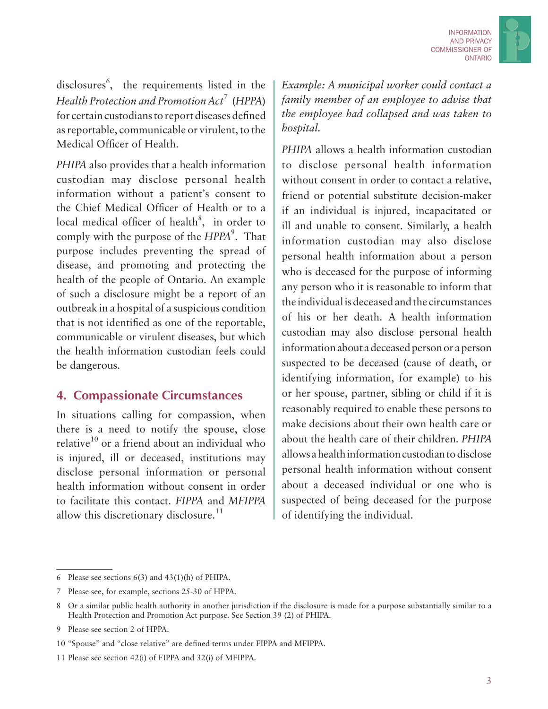

disclosures<sup>6</sup>, the requirements listed in the *Health Protection and Promotion Act*<sup>7</sup> (*HPPA*) for certain custodians to report diseases defined as reportable, communicable or virulent, to the Medical Officer of Health.

*PHIPA* also provides that a health information custodian may disclose personal health information without a patient's consent to the Chief Medical Officer of Health or to a local medical officer of health $8$ , in order to comply with the purpose of the *HPPA*<sup>9</sup>. That purpose includes preventing the spread of disease, and promoting and protecting the health of the people of Ontario. An example of such a disclosure might be a report of an outbreak in a hospital of a suspicious condition that is not identified as one of the reportable, communicable or virulent diseases, but which the health information custodian feels could be dangerous.

#### **4. Compassionate Circumstances**

In situations calling for compassion, when there is a need to notify the spouse, close relative $10$  or a friend about an individual who is injured, ill or deceased, institutions may disclose personal information or personal health information without consent in order to facilitate this contact. *FIPPA* and *MFIPPA* allow this discretionary disclosure.<sup>11</sup>

*Example: A municipal worker could contact a family member of an employee to advise that the employee had collapsed and was taken to hospital.*

*PHIPA* allows a health information custodian to disclose personal health information without consent in order to contact a relative, friend or potential substitute decision-maker if an individual is injured, incapacitated or ill and unable to consent. Similarly, a health information custodian may also disclose personal health information about a person who is deceased for the purpose of informing any person who it is reasonable to inform that the individual is deceased and the circumstances of his or her death. A health information custodian may also disclose personal health information about a deceased person or a person suspected to be deceased (cause of death, or identifying information, for example) to his or her spouse, partner, sibling or child if it is reasonably required to enable these persons to make decisions about their own health care or about the health care of their children. *PHIPA* allows a health information custodian to disclose personal health information without consent about a deceased individual or one who is suspected of being deceased for the purpose of identifying the individual.

<sup>6</sup> Please see sections 6(3) and 43(1)(h) of PHIPA.

<sup>7</sup> Please see, for example, sections 25-30 of HPPA.

<sup>8</sup> Or a similar public health authority in another jurisdiction if the disclosure is made for a purpose substantially similar to a Health Protection and Promotion Act purpose. See Section 39 (2) of PHIPA.

<sup>9</sup> Please see section 2 of HPPA.

<sup>10</sup> "Spouse" and "close relative" are defined terms under FIPPA and MFIPPA.

<sup>11</sup> Please see section 42(i) of FIPPA and 32(i) of MFIPPA.